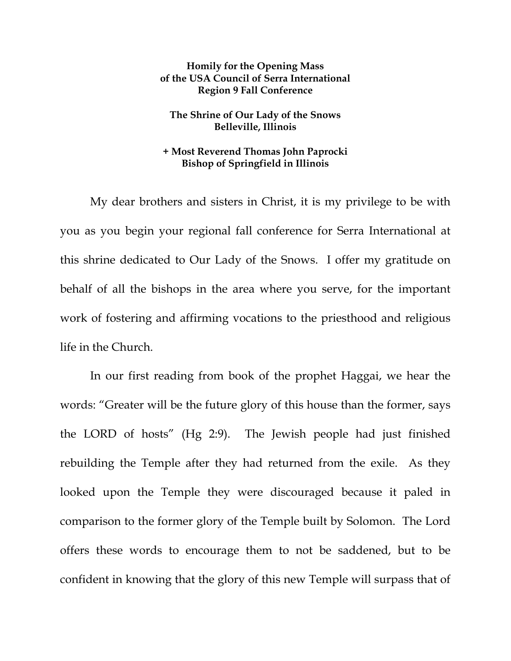## **Homily for the Opening Mass of the USA Council of Serra International Region 9 Fall Conference**

## **The Shrine of Our Lady of the Snows Belleville, Illinois**

## **+ Most Reverend Thomas John Paprocki Bishop of Springfield in Illinois**

My dear brothers and sisters in Christ, it is my privilege to be with you as you begin your regional fall conference for Serra International at this shrine dedicated to Our Lady of the Snows. I offer my gratitude on behalf of all the bishops in the area where you serve, for the important work of fostering and affirming vocations to the priesthood and religious life in the Church.

 In our first reading from book of the prophet Haggai, we hear the words: "Greater will be the future glory of this house than the former, says the LORD of hosts" (Hg 2:9). The Jewish people had just finished rebuilding the Temple after they had returned from the exile. As they looked upon the Temple they were discouraged because it paled in comparison to the former glory of the Temple built by Solomon. The Lord offers these words to encourage them to not be saddened, but to be confident in knowing that the glory of this new Temple will surpass that of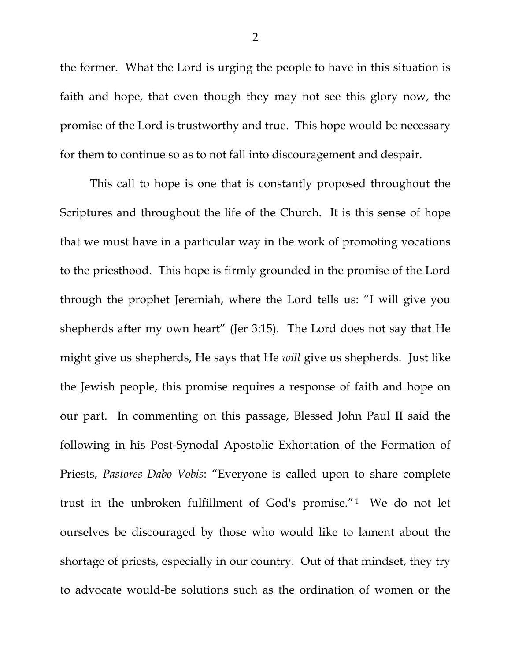the former. What the Lord is urging the people to have in this situation is faith and hope, that even though they may not see this glory now, the promise of the Lord is trustworthy and true. This hope would be necessary for them to continue so as to not fall into discouragement and despair.

 This call to hope is one that is constantly proposed throughout the Scriptures and throughout the life of the Church. It is this sense of hope that we must have in a particular way in the work of promoting vocations to the priesthood. This hope is firmly grounded in the promise of the Lord through the prophet Jeremiah, where the Lord tells us: "I will give you shepherds after my own heart" (Jer 3:15). The Lord does not say that He might give us shepherds, He says that He *will* give us shepherds. Just like the Jewish people, this promise requires a response of faith and hope on our part. In commenting on this passage, Blessed John Paul II said the following in his Post-Synodal Apostolic Exhortation of the Formation of Priests, *Pastores Dabo Vobis*: "Everyone is called upon to share complete trust in the unbroken fulfillment of God's promise."1 We do not let ourselves be discouraged by those who would like to lament about the shortage of priests, especially in our country. Out of that mindset, they try to advocate would-be solutions such as the ordination of women or the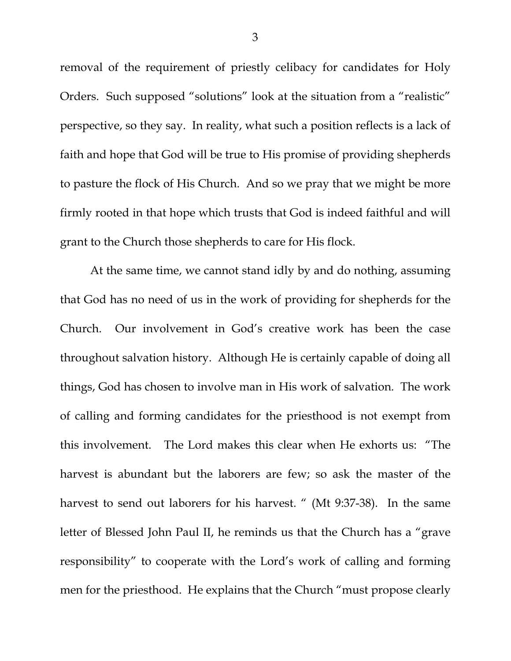removal of the requirement of priestly celibacy for candidates for Holy Orders. Such supposed "solutions" look at the situation from a "realistic" perspective, so they say. In reality, what such a position reflects is a lack of faith and hope that God will be true to His promise of providing shepherds to pasture the flock of His Church. And so we pray that we might be more firmly rooted in that hope which trusts that God is indeed faithful and will grant to the Church those shepherds to care for His flock.

 At the same time, we cannot stand idly by and do nothing, assuming that God has no need of us in the work of providing for shepherds for the Church. Our involvement in God's creative work has been the case throughout salvation history. Although He is certainly capable of doing all things, God has chosen to involve man in His work of salvation. The work of calling and forming candidates for the priesthood is not exempt from this involvement. The Lord makes this clear when He exhorts us: "The harvest is abundant but the laborers are few; so ask the master of the harvest to send out laborers for his harvest. " (Mt 9:37-38). In the same letter of Blessed John Paul II, he reminds us that the Church has a "grave responsibility" to cooperate with the Lord's work of calling and forming men for the priesthood. He explains that the Church "must propose clearly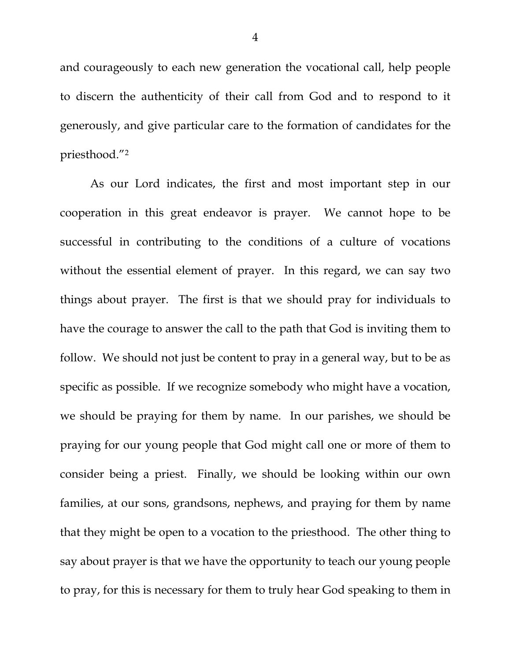and courageously to each new generation the vocational call, help people to discern the authenticity of their call from God and to respond to it generously, and give particular care to the formation of candidates for the priesthood."2

 As our Lord indicates, the first and most important step in our cooperation in this great endeavor is prayer. We cannot hope to be successful in contributing to the conditions of a culture of vocations without the essential element of prayer. In this regard, we can say two things about prayer. The first is that we should pray for individuals to have the courage to answer the call to the path that God is inviting them to follow. We should not just be content to pray in a general way, but to be as specific as possible. If we recognize somebody who might have a vocation, we should be praying for them by name. In our parishes, we should be praying for our young people that God might call one or more of them to consider being a priest. Finally, we should be looking within our own families, at our sons, grandsons, nephews, and praying for them by name that they might be open to a vocation to the priesthood. The other thing to say about prayer is that we have the opportunity to teach our young people to pray, for this is necessary for them to truly hear God speaking to them in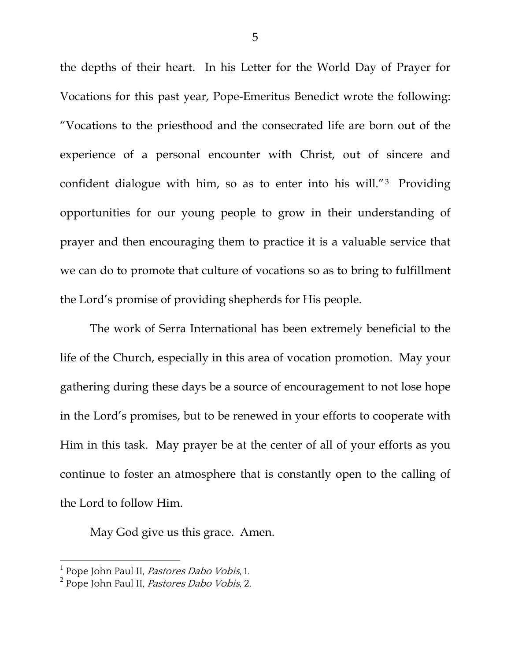the depths of their heart. In his Letter for the World Day of Prayer for Vocations for this past year, Pope-Emeritus Benedict wrote the following: "Vocations to the priesthood and the consecrated life are born out of the experience of a personal encounter with Christ, out of sincere and confident dialogue with him, so as to enter into his will."3 Providing opportunities for our young people to grow in their understanding of prayer and then encouraging them to practice it is a valuable service that we can do to promote that culture of vocations so as to bring to fulfillment the Lord's promise of providing shepherds for His people.

 The work of Serra International has been extremely beneficial to the life of the Church, especially in this area of vocation promotion. May your gathering during these days be a source of encouragement to not lose hope in the Lord's promises, but to be renewed in your efforts to cooperate with Him in this task. May prayer be at the center of all of your efforts as you continue to foster an atmosphere that is constantly open to the calling of the Lord to follow Him.

May God give us this grace. Amen.

 $\overline{a}$ 

<sup>&</sup>lt;sup>1</sup> Pope John Paul II, *Pastores Dabo Vobis*, 1.

<sup>&</sup>lt;sup>2</sup> Pope John Paul II, *Pastores Dabo Vobis*, 2.